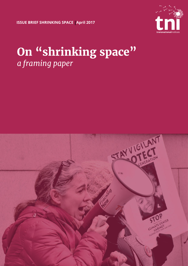**ISSUE BRIEF SHRINKING SPACE April 2017 |**



# **On "shrinking space"** *a framing paper*

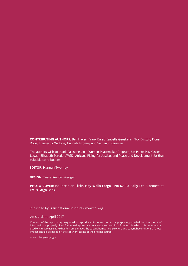**CONTRIBUTING AUTHORS:** Ben Hayes, Frank Barat, Isabelle Geuskens, Nick Buxton, Fiona Dove, Francesco Martone, Hannah Twomey and Semanur Karaman

The authors wish to thank Palestine Link, Women Peacemaker Program, Un Ponte Per, Yasser Louati, Elizabeth Peredo, AWID, Africans Rising for Justice, and Peace and Development for their valuable contributions

**EDITOR:** Hannah Twomey

**DESIGN:** Tessa Kersten-Zenger

**PHOTO COVER:** Joe Piette on Flickr. **Hey Wells Fargo - No DAPL! Rally** Feb 3 protest at Wells Fargo Bank.

Published by Transnational Institute - www.tni.org

Amsterdam, April 2017

Contents of the report may be quoted or reproduced for non-commercial purposes, provided that the source of information is properly cited. TNI would appreciate receiving a copy or link of the text in which this document is used or cited. Please note that for some images the copyright may lie elsewhere and copyright conditions of those images should be based on the copyright terms of the original source.

www.tni.org/copyright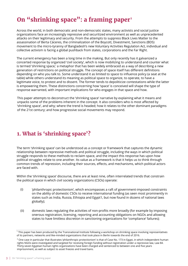## **On "shrinking space": a framing paper**<sup>1</sup>

Across the world, in both democratic and non-democratic states, many activists and social justice organizations face an increasingly repressive and securitized environment as well as unprecedented attacks on their legitimacy and security. From the attempts to suppress Black Lives Matter to the assassination of Berta Cáceres, the criminalization of the Boycott, Divestment, Sanctions (BDS) movement to the micro-tyranny of Bangladesh's new Voluntary Activities Regulation Act, individual and collective activism is facing a global pushback from states, corporations and the Far Right.

The current emergency has been a long time in the making. But only recently has it galvanized a concerted response by organized 'civil society', which is now mobilizing to understand and counter what is termed 'shrinking space,' a metaphor that has been widely embraced as a way of describing a new generation of restrictions on political struggle. The concept of space itself has different definitions depending on who you talk to. Some understand it as limited to space to influence policy (a seat at the table) while others understand its meaning as political space to organize, to operate, to have a legitimate voice, to protest and to dissent. The former tends to depoliticize contestations while the latter is empowering them. These distinctions concerning how 'space' is conceived will shape the type of response warranted, with important implications for who engages in that space and how.

This paper attempts to deconstruct the 'shrinking space' narrative by explaining what it means and unpacks some of the problems inherent in the concept. It also considers who is most affected by 'shrinking space', and why; where the trend is headed; how it relates to the other dominant paradigms of the 21st century; and how progressive social movements may respond.

## **1. What is 'shrinking space'?**

The term 'shrinking space' can be understood as a concept or framework that captures the dynamic relationship between repressive methods and political struggle, including the ways in which political struggle responds to these methods to reclaim space, and the impact this response has upon how political struggles relate to one another. Its value as a framework is that it helps us to think through common trends of repression, including their sources, effects, and mechanisms, which political actors are faced with.

Within the 'shrinking space' discourse, there are at least nine, often interrelated trends that constrain the political space in which civil society organizations (CSOs) operate:

- 'philanthropic protectionism', which encompasses a raft of government-imposed constraints on the ability of domestic CSOs to receive international funding (as seen most prominently in states such as India, Russia, Ethiopia and Egypt1, but now found in dozens of national laws globally); (i)
- (ii) domestic laws regulating the activities of non-profits more broadly (for example by imposing onerous registration, licensing, reporting and accounting obligations on NGOs and allowing states to have limitless discretion in sanctioning organizations for 'compliance' failures);

<sup>1</sup> This paper has been produced by the Transnational Institute following a workshop on shrinking space involving representatives of its partners, networks and like-minded organizations that took place in Berlin towards the end of 2016.

 $2$  One case in particular that illustrates 'philanthropic protectionism' is that of Case No. 173 in Egypt, in which independent human rights NGOs were investigated and targeted for receiving foreign funding without registration under a repressive law, Law 84. Thirty-seven Egyptian human rights organizations have been charged and sentenced to between one and five years imprisonment, as well as subject to asset freezes and travel bans.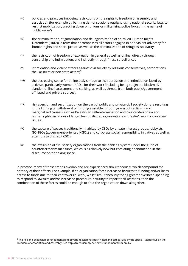- policies and practices imposing restrictions on the rights to freedom of assembly and association (for example by banning demonstrations outright, using national security laws to restrict mobilization, cracking down on unions or militarizing police forces in the name of 'public order'); (iii)
- the criminalization, stigmatization and de-legitimization of so-called 'Human Rights Defenders' (HRDs) (a term that encompasses all actors engaged in non-violent advocacy for human rights and social justice) as well as the criminalization of refugees' solidarity; (iv)
- the restriction of freedom of expression in general as well as online, directly through censorship and intimidation, and indirectly through 'mass surveillance'; (v)
- intimidation and violent attacks against civil society by religious conservatives, corporations, the Far Right or non-state actors; $3$ (vi)
- the decreasing space for online activism due to the repression and intimidation faced by activists, particularly women HRDs, for their work (including being subject to blackmail, slander, online harassment and stalking, as well as threats from both public/governmentaffiliated and private sources); (vii)
- risk aversion and securitization on the part of public and private civil society donors resulting in the limiting or withdrawal of funding available for both grassroots activism and marginalized causes (such as Palestinian self-determination and counter-terrorism and human rights) in favour of larger, less politicized organizations and 'safer', less 'controversial' issues; (viii)
- the capture of spaces traditionally inhabited by CSOs by private interest groups, lobbyists, GONGOs (government-oriented NGOs) and corporate social responsibility initiatives as well as attempts to discredit CSOs; (ix)
- the exclusion of civil society organizations from the banking system under the guise of counterterrorism measures, which is a relatively new but escalating phenomenon in the discourse on 'shrinking space'.  $(x)$

In practice, many of these trends overlap and are experienced simultaneously, which compound the potency of their effects. For example, if an organization faces increased barriers to funding and/or loses access to funds due to their controversial work, whilst simultaneously facing greater overhead spending to respond to lawsuits and/or increased procedural scrutiny to report their activities, then the combination of these forces could be enough to shut the organization down altogether.

<sup>3</sup> The rise and expansion of fundamentalism beyond religion has been noted and categorized by the Special Rapporteur on the Freedom of Association and Assembly. See http://freeassembly.net/news/fundamentalism-hrc32/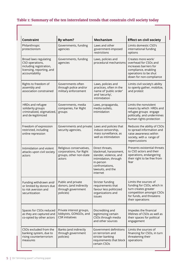#### **Table 1: Summary of the ten interrelated trends that constrain civil society today**

| <b>Constraint</b>                                                                                                  | By whom?                                                                                 | <b>Mechanism</b>                                                                                                                                              | <b>Effect on civil society</b>                                                                                                                          |
|--------------------------------------------------------------------------------------------------------------------|------------------------------------------------------------------------------------------|---------------------------------------------------------------------------------------------------------------------------------------------------------------|---------------------------------------------------------------------------------------------------------------------------------------------------------|
| Philanthropic<br>protectionism                                                                                     | Governments, funding<br>agencies                                                         | Laws and other<br>government-imposed<br>restrictions                                                                                                          | Limits domestic CSO's<br>international funding<br>options                                                                                               |
| Broad laws regulating<br>CSO operations,<br>including registration,<br>licensing, reporting, and<br>accountability | Governments, funding<br>agencies                                                         | Laws, policies and<br>procedural mechanisms                                                                                                                   | Creates more work/<br>overhead for CSOs and<br>increases barriers for<br>compliance, enabling<br>operations to be shut<br>down for non-compliance       |
| Rights to freedom of<br>assembly and<br>association constrained                                                    | Governments often<br>through police and/or<br>military enforcement                       | Laws, policies and<br>practices, often in the<br>name of 'public order'<br>and 'security',<br>intimidation                                                    | Limits civil society's ability<br>to openly gather, mobilize,<br>and protest                                                                            |
| HRDs and refugee<br>solidarity groups<br>criminalized, stigmatized,<br>and de-legitimized                          | Governments, media<br>companies, Far Right<br>groups                                     | Laws, propaganda,<br>media outlets,<br>intimidation                                                                                                           | Limits the nonviolent<br>means by which HRDs and<br>refugee groups engage<br>politically, and undermines<br>human rights protection                     |
| Freedom of expression<br>restricted, including<br>online repression                                                | Governments and private<br>security agencies,                                            | Laws and policies that<br>induce censorship,<br>mass surveillance, as<br>well as intimidation                                                                 | Reduces the ability of CSOs<br>to spread information and<br>raise awareness within<br>society, with a range of<br>repercussions                         |
| Intimidation and violent<br>attacks upon civil society<br>actors                                                   | Religious conservatives,<br>corporations, Far Right<br>groups, other non-state<br>actors | Direct threats,<br>blackmail, harassment,<br>slander, violence, and<br>intimidation, through<br>in-person<br>confrontations,<br>lawsuits, and the<br>internet | Presents existential threats<br>to CSO actors and their<br>operations, endangering<br>their right to be free from<br>fear                               |
| Funding withdrawn and/<br>or limited by donors due<br>to risk aversion and<br>securitization                       | Public and private<br>donors, (and indirectly<br>through government<br>policies)         | Stricter funding<br>requirements that<br>favour less politicized<br>organizations and<br><i>issues</i>                                                        | Limits the sources of<br>funding for CSOs, which in<br>turn creates greater<br>competition amongst CSOs<br>for funds, and threatens<br>their operations |
| Spaces for CSOs reduced<br>as they are captured and<br>co-opted by other actors                                    | Private interest groups,<br>lobbyists, GONGOs, and<br><b>CSR</b> initiatives             | Discrediting and<br>legitimizing certain<br>CSOs through media<br>and other sources                                                                           | Impedes the financial<br>lifelines of CSOs as well as<br>their spaces for political<br>engagement                                                       |
| CSOs excluded from the<br>banking system, due to<br>rising counterterrorism<br>measures                            | Banks (and indirectly<br>through government<br>policies)                                 | Government definitions<br>on terrorism and<br>stricter banking<br>requirements that block<br>certain CSOs                                                     | Limits the sources of<br>financing for CSOs, in turn<br>threatening their<br>operations                                                                 |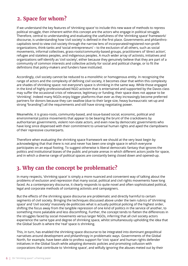## **2. Space for whom?**

If we understand the key features of 'shrinking space' to include this new wave of methods to repress political struggle, then inherent within this concept are the actors who engage in political struggle. Therefore, central to understanding and evaluating the usefulness of the 'shrinking space' framework/ discourse, is understanding how 'civil society' is defined in the first place. Governments and philanthrocapitalists tend to view civil society through the narrow lens of incorporated/registered non-profit organizations, think-tanks and 'social entrepreneurs' – to the exclusion of all others, such as social movements, informal collectives, grass-roots/community-based groups, practitioners of 'direct action', refugee and stateless peoples, and indigenous peoples. A much wider array of activists, initiatives and organizations self-identify as 'civil society', either because they genuinely believe that they are part of a community of common interests and collective activity for social and political change, or to fit the definitions that policy-makers and funders have instituted.

Accordingly, civil society cannot be reduced to a monolithic or homogenous entity. In recognizing the range of actors and the complexity of defining civil society, it becomes clear that within this complexity are shades of shrinking space: not everyone's space is shrinking in the same way. While those engaged in the kind of highly professionalized NGO activism that is entertained and supported by the Davos class may suffer the occasional crisis of relevance, legitimacy or funding, their space does not appear to be 'shrinking'. Indeed many NGOs enjoy bigger platforms than ever as they increasingly become preferred partners for donors because they can swallow (due to their large size, heavy bureaucratic set-up and strong "branding") all the requirements and still have strong negotiating power.

Meanwhile, it is grass-roots, community-based, and issue-based social, economic, political and environmental justice movements that appear to be bearing the brunt of the crackdowns by authoritarian governments, violent non-state actors, and even now by democratic governments who have long since dispensed with their commitment to universal human rights and aped the clampdowns of their repressive counterparts.

Therefore when evaluating the shrinking space framework we should at the very least begin by acknowledging that that there is not and never has been one single space in which everyone participates on an equal footing. To suggest otherwise is liberal democratic fantasy that ignores the politics and institutional biases of the public and private arenas in which different actors jostle for space, and in which a diverse range of political spaces are constantly being closed down and opened-up.

## **3. Why can the concept be problematic?**

In many respects, 'shrinking space' is simply a more nuanced and convenient way of talking about the problems of exclusion and repression that many social, political and civil rights movements have long faced. As a contemporary discourse, it clearly responds to quite novel and often sophisticated political, legal and corporate methods of containing activists and campaigners.

But the effects of the shrinking space discourse are problematic and directly harmful to certain segments of civil society. Bringing the techniques discussed above under the twin rubrics of 'shrinking space' and 'civil society' massively de-politicizes what is actually political policing of the highest order, shifting the focus away from the tangible repression of one kind of politics in the service of another, to something more palatable and less discomfiting. Further, the concept tends to flatten the differences in the struggles faced by social movements versus larger NGOs, inferring that all civil society actors experience the same type and degree of shrinking space, whilst simultaneously upholding the idea that the Global South is where the 'real' space is shrinking.

This, in turn, has enabled the shrinking space discourse to be integrated into dominant geopolitical narratives around development and philanthropy in problematic ways. Governments of the Global North, for example, have been able to profess support for 'civic space' and human rights defender initiatives in the Global South while adopting domestic policies and promoting collusion with corporations that contribute to 'shrinking space', and wilfully ignoring the abuses meted out by their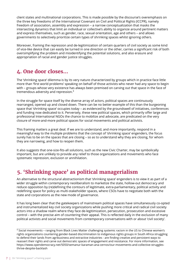client states and multinational corporations. This is made possible by the discourse's overemphasis on the three key freedoms of the International Covenant on Civil and Political Rights (ICCPR), namely freedom of association, assembly and expression – a narrow conceptualization that masks the intersecting dynamics that limit an individual or collective's ability to organize around pertinent matters and express themselves, such as gender, race, sexual orientation, age and others – and allows governments to selectively prioritize certain types of shrinking spaces whilst ignoring others.

Moreover, framing the repression and de-legitimization of certain quarters of civil society as some kind of vice-like device that can easily be turned in one direction or the other, carries a significant risk of both oversimplifying the problem and misidentifying the potential solutions, and also erasure and appropriation of racial and gender justice struggles.

#### **4. One door closes…**

The 'shrinking space' dilemma is by its very nature characterized by groups which in practice face little more than 'first world problems' speaking on behalf of those activists who never had any space to begin with – groups whose very existence has always been premised on carving out that space in the face of tremendous adversity and repression.<sup>4</sup>

In the struggle for space itself by the diverse array of actors, political spaces are continuously rearranged, opened up and closed down. There can be no better example of this than the burgeoning space that 'shrinking space' occupies today – as evidenced by the groundswell of initiatives, conferences and funding now dedicated to it. Perversely, these new political spaces, which primarily offer large and professional International NGOs the chance to mobilize and advocate, are predicated on the very closure of more-and-more political spaces for social movements and political activists.

This framing matters a great deal. If we are to understand, and more importantly, respond in a meaningful way to the multiple problems that the concept of 'shrinking space' engenders, the focus surely has to be on the spaces that are closing – so as to understand why they are closing, for whom they are narrowing, and how to reopen them.

It also suggests that one-size-fits-all solutions, such as the new Civic Charter, may be symbolically important, but are unlikely to provide any relief to those organizations and movements who face systematic repression, exclusion or annihilation.

## **5. 'Shrinking space' as political managerialism**

An alternative to the structural abstractionism that 'shrinking space' engenders is to view it as part of a wider struggle within contemporary neoliberalism to marketize the state, hollow-out democracy and reduce opposition by (re)defining the contours of legitimate, extra-parliamentary, political activity and redefining space for policy as multi-stakeholder spaces, where CSOs have to negotiate both with the state and corporations as the new mode of governance.

It has long been clear that the gatekeepers of mainstream political spaces have simultaneously co-opted and instrumentalized key civil society organizations while pushing more critical and radical civil society actors into a shadow realm where they face de-legitimization, persecution, prosecution and excessive control – with the precise aim of countering their appeal. This is reflected daily in the exclusion of many political activists and social movements from contemporary conversations with or about 'civil society'.

<sup>&</sup>lt;sup>4</sup> Social movements – ranging from Black Lives Matter challenging systemic racism in the US to Chinese women's rights organizations countering gender-based discrimination to indigenous rights groups in South Africa struggling to defend their lands from agribusiness and extractive industries - are finding creative and persistent ways to reassert their rights and carve out democratic spaces of engagement and resistance. For more information, see https://www.opendemocracy.net/5050/semanur-karaman-ana-cernov/our-movements-and-collective-strugglesthrive-despite-backlash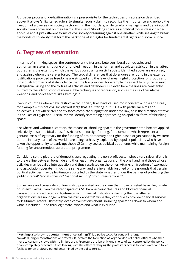A broader process of de-legitimization is a prerequisite for the techniques of repression described above. It allows 'enlightened rulers' to simultaneously claim to recognize the importance and uphold the freedom of a diverse civil society sector within their borders, while carefully managing and defining civil society from above and on their terms. This use of 'shrinking space' as a political tool is classic divideand-rule and it pits different forms of civil society organizing against one another while seeking to break the bonds of solidarity that form the backbone of struggles for fundamental rights and social justice.

## **6. Degrees of separation**

In terms of 'shrinking space', the contemporary di fference between liberal democracies and authoritarian states is not one of unbridled freedom in the former and absolute restriction in the latter, but rather is the extent to which the various constraints on civil society identified above are enforced, and against whom they are enforced. The crucial differences that do endure are found in the extent of justifications provided as freedoms are stripped and the level of meaningful protection for groups and individuals from acts of state violence that the law provides, for example in respect to physical assault, extrajudicial killing and the torture of activists and defenders. But even here the lines are constantly blurred by the introduction of more subtle techniques of repression, such as the use of 'less-lethal weapons' and police tactics likes 'kettling'. <sup>5</sup>

Even in countries where new, restrictive civil society laws have caused most concern – India and Israel, for example – it is not civil society writ large that is suffering, but CSOs with particular aims and objectives. Only where civil society faces complete subjugation under the law, as is the direction of travel in the likes of Egypt and Russia, can we identify something approaching an apolitical form of 'shrinking space'.

Elsewhere, and without exception, the means of 'shrinking space' in the government toolbox are applied selectively to suit political ends. Restrictions on foreign-funding, for example – which represent a genuine crisis of legitimacy for the funding of pro-democracy and rights-based organizations by western donors in many parts of the world – are being ruthlessly exploited by populist politicians who have taken the opportunity to bankrupt those CSOs they see as political opponents while maintaining foreign funding for uncontentious actors and programmes.

Consider also the plethora of domestic laws regulating the non-profit sector whose very raison d'etre is to draw a line between bona fide and thus legitimate organizations on the one hand, and those whose activities may be called into question and thus restricted on the other. Attacks on freedom of expression and association operate in much the same way, and are invariably justified on the grounds that certain political activities may be legitimately curtailed by the state, whether under the banner of protecting the 'public interest', 'social cohesion', 'national security' or 'counter-terrorism'.

Surveillance and censorship online is also predicated on the claim that those targeted have illegitimate or unlawful aims. Even the recent spate of CSO bank account closures and blocked financial transactions is predicated on legitimacy, with financial institutions claiming that the affected organizations are no longer within their 'risk appetite', while they continue to provide financial services to 'legitimate' actors. Ultimately, even conversations about 'shrinking space' boil down to whom and what is included – and thus legitimate –whom and what is excluded.

<sup>5</sup> **Kettling** (also known as **containment** or **corralling**)[1] is a police tactic for controlling large crowds during demonstrations or protests. It involves the formation of large cordons of police officers who then move to contain a crowd within a limited area. Protesters are left only one choice of exit controlled by the police – or are completely prevented from leaving, with the effect of denying the protesters access to food, water and toilet facilities for an arbitrary period determined by the police forces.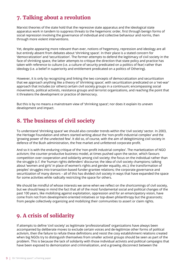## **7. Talking about a revolution**

Marxist theories of the state hold that the repressive state apparatus and the ideological state apparatus work in tandem to suppress threats to the hegemonic order, first through benign forms of social repression involving the governance of individual and collective behaviour and norms, then through more violent interventions.

Yet, despite appearing more relevant than ever, notions of hegemony, repression and ideology are all but entirely absent from debates about 'shrinking space'. In their place is a stated concern for 'democratization' and 'securitization'. The former attempts to defend the legitimacy of civil society in the face of shrinking space, the latter attempts to critique the direction that state policy and practice has taken with reference to culture (i.e. a culture of security predicated on a politics of fear) rather than ideology (i.e. a belief in superiority and entitlement predicated on a politics of Othering).

However, it is only by recognizing and linking the two concepts of democratization and securitization that we approach anything like a theory of 'shrinking space', with securitization predicated on a 'net-war' approach that includes (or others) certain civil society groups in a continuum; encompassing social movements, political activists, resistance groups and terrorist organizations, and reaching the point that it threatens the development or practice of democracy.

But this is by no means a mainstream view of 'shrinking space'; nor does it explain its uneven development and impact.

## **8. The business of civil society**

To understand 'shrinking space' we should also consider trends within the 'civil society' sector. In 2003, the Heritage Foundation and others started writing about the 'non-profit industrial complex' and the 'growing power of the unelected few'. It did so, of course, with the aim of delegitimizing civil society in defence of the Bush administration, the free market and unfettered corporate profit.

And so it is with the enduring critique of the 'non-profit industrial complex'. The marketization of NGO activism; the counter-productive business model, at times pushed upon the sector, which favours competition over cooperation and solidarity among civil society; the focus on the individual rather than the struggle (c.f. the 'human rights defenders' discourse; the idea of civil society champions; talking about 'women and girls' in place of women's rights and gender equality, etc.); the transformation of peoples' struggles into transaction-based funder-grantee relations; the corporate governance and securitization of many donors – all of this has divided civil society in ways that have expanded the space for some activities while radically restricting the space for others.

We should be mindful of whose interests we serve when we reflect on the shortcomings of civil society, but we should keep in mind the fact that all of the most fundamental social and political changes of the past 100 years, like mobilizing against exploitation, oppression and for an emancipatory vision, have come from not from development-oriented initiatives or top-down philanthropy but the grassroots; from people collectively organizing and mobilizing their communities to assert or claim rights.

## **9. A crisis of solidarity**

If attempts to define 'civil society' as legitimate 'professionalized' organizations have always been accompanied by deliberate moves to exclude certain voices and de-legitimize other forms of political activism, then the failure to refute these definitions and resist the cosy establishment relations created when big NGOs try to distinguish themselves from smaller activist groups should be seen as part of the problem. This is because the lack of solidarity with those individual activists and political campaigns that have been exposed to demonization and criminalization, and a growing disconnect between the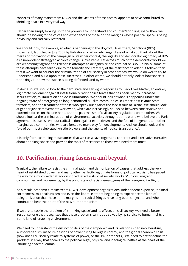concerns of many mainstream NGOs and the victims of these tactics, appears to have contributed to shrinking space in a very real way.

Rather than simply looking up to the powerful to understand and counter 'shrinking space' then, we should be looking to the voices and experiences of those on the margins whose political space is being obviously and radically restricted.

We should look, for example, at what is happening to the Boycott, Divestment, Sanctions (BDS) movement, launched in July 2005 by Palestinian civil society. Regardless of what you think about the merits or motivation of the campaign or its wider context, the legality and democratic legitimacy of BDS as a non-violent strategy to achieve change is irrefutable. Yet across much of the democratic world we are witnessing flagrant and relentless attempts to delegitimize and criminalize BDS. Crucially, some of these attempts have failed due to the tenacity and creativity of the resistance to adapt. It follows then that if we want to counter the criminalization of civil society in other arenas, we would do well to try to understand and build upon these successes. In other words, we should not only look at how space is 'shrinking', but how that space is being defended, and by whom.

In doing so, we should look to the hard state and Far Right responses to Black Lives Matter, an entirely legitimate movement against institutionally racist police forces that has been met by increased securitization, militarization and de-legitimization. We should look at what is happening under the ongoing 'state of emergency' to long-demonized Muslim communities in France post-Islamic State terrorism, and the treatment of those who speak out against the fascist turn of 'laïcité'. We should look at gender justice movements worldwide, which are increasingly squeezed between conservative and extremist forces on the one hand, and the paternalism of civil society regulations on the other. We should look at the criminalization of environmental activists throughout the world who believe the Paris agreement is useless without radical action against extractivism, and the fate of indigenous and other marginalized communities who are forced to make way for 'development'. And we should look at the fate of our most celebrated whistle-blowers and the agents of 'radical transparency'.

It is only from examining these stories that we can weave together a coherent and alternative narrative about shrinking space and provide the tools of resistance to those who need them most.

#### **10. Pacification, rising fascism and beyond**

Tragically, the failure to resist the criminalization and demonization of causes that address the very heart of established power, and many other perfectly legitimate forms of political activism, has paved the way for a much wider attack on individual activists, civil society, workers' unions, migrant communities and movements, by the populists and racist demagogues of the resurgent Far Right.

As a result, academics, mainstream NGOs, development organizations, independent expertise, 'political correctness', multiculturalism and even the 'liberal elite' are beginning to experience the kind of delegitimization that those at the margins and radical fringes have long been subject to, and who continue to bear the brunt of the new authoritarianism.

If we are to tackle the problem of 'shrinking space' and its effects on civil society, we need a better response: one that recognizes that these problems cannot be solved by lip-service to human rights or some kind of 'enabling environment'.

We need to understand the distinct politics of the clampdown and its relationship to neoliberalism, authoritarianism, insecure bastions of power trying to regain control, and the global economic crisis (how does civil society relate to systems of power, or the 1%, or the 99%). We need to better define the problem in a way that speaks to the political, legal, physical and ideological battles at the heart of the 'shrinking space' dilemma.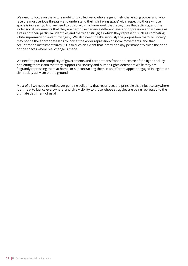We need to focus on the actors mobilizing collectively, who are genuinely challenging power and who face the most serious threats – and understand their 'shrinking space' with respect to those whose space is increasing. And we need to do so within a framework that recognizes that activists, and the wider social movements that they are part of, experience different levels of oppression and violence as a result of their particular identities and the wider struggles which they represent, such as combating white supremacy or violent misogyny. We also need to take seriously the proposition that 'civil society' may not be the appropriate lens to look at the wider repression of social movements, and that securitization instrumentalizes CSOs to such an extent that it may one day permanently close the door on the spaces where real change is made.

We need to put the complicity of governments and corporations front-and-centre of the fight-back by not letting them claim that they support civil society and human rights defenders while they are flagrantly repressing them at home; or subcontracting them in an effort to appear engaged in legitimate civil society activism on the ground.

Most of all we need to rediscover genuine solidarity that resurrects the principle that injustice anywhere is a threat to justice everywhere, and give visibility to those whose struggles are being repressed to the ultimate detriment of us all.